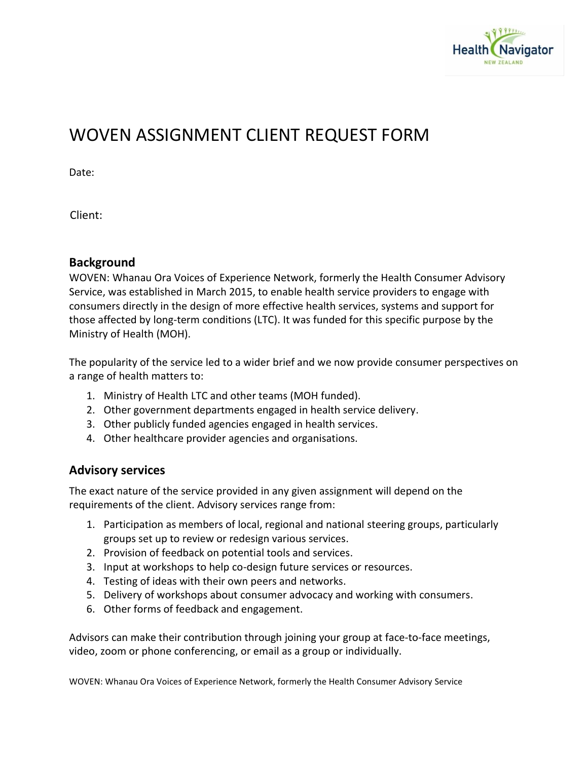

# WOVEN ASSIGNMENT CLIENT REQUEST FORM

Date:

Client:

### **Background**

WOVEN: Whanau Ora Voices of Experience Network, formerly the Health Consumer Advisory Service, was established in March 2015, to enable health service providers to engage with consumers directly in the design of more effective health services, systems and support for those affected by long-term conditions (LTC). It was funded for this specific purpose by the Ministry of Health (MOH).

The popularity of the service led to a wider brief and we now provide consumer perspectives on a range of health matters to:

- 1. Ministry of Health LTC and other teams (MOH funded).
- 2. Other government departments engaged in health service delivery.
- 3. Other publicly funded agencies engaged in health services.
- 4. Other healthcare provider agencies and organisations.

## **Advisory services**

The exact nature of the service provided in any given assignment will depend on the requirements of the client. Advisory services range from:

- 1. Participation as members of local, regional and national steering groups, particularly groups set up to review or redesign various services.
- 2. Provision of feedback on potential tools and services.
- 3. Input at workshops to help co-design future services or resources.
- 4. Testing of ideas with their own peers and networks.
- 5. Delivery of workshops about consumer advocacy and working with consumers.
- 6. Other forms of feedback and engagement.

Advisors can make their contribution through joining your group at face-to-face meetings, video, zoom or phone conferencing, or email as a group or individually.

WOVEN: Whanau Ora Voices of Experience Network, formerly the Health Consumer Advisory Service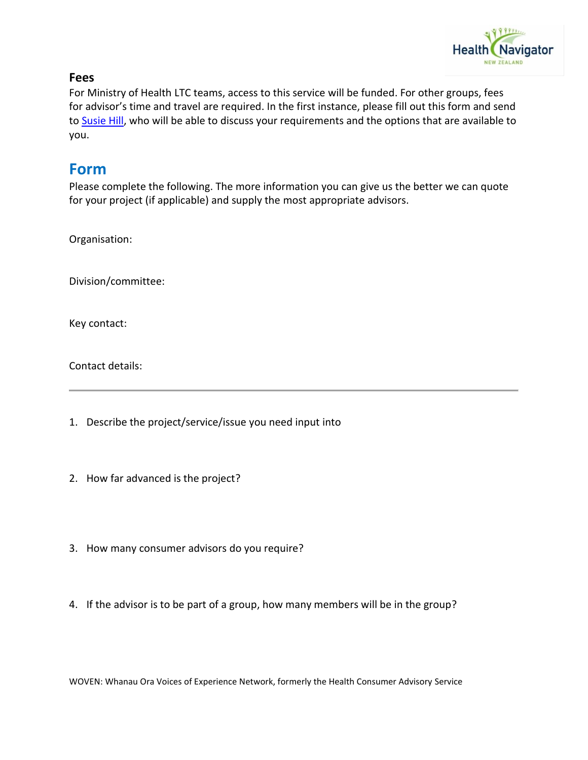

#### **Fees**

For Ministry of Health LTC teams, access to this service will be funded. For other groups, fees for advisor's time and travel are required. In the first instance, please fill out this form and send to [Susie Hill,](mailto:susie@heaelthnavigator.org.nz) who will be able to discuss your requirements and the options that are available to you.

# **Form**

Please complete the following. The more information you can give us the better we can quote for your project (if applicable) and supply the most appropriate advisors.

Organisation:

Division/committee:

Key contact:

Contact details:

1. Describe the project/service/issue you need input into

- 2. How far advanced is the project?
- 3. How many consumer advisors do you require?
- 4. If the advisor is to be part of a group, how many members will be in the group?

WOVEN: Whanau Ora Voices of Experience Network, formerly the Health Consumer Advisory Service